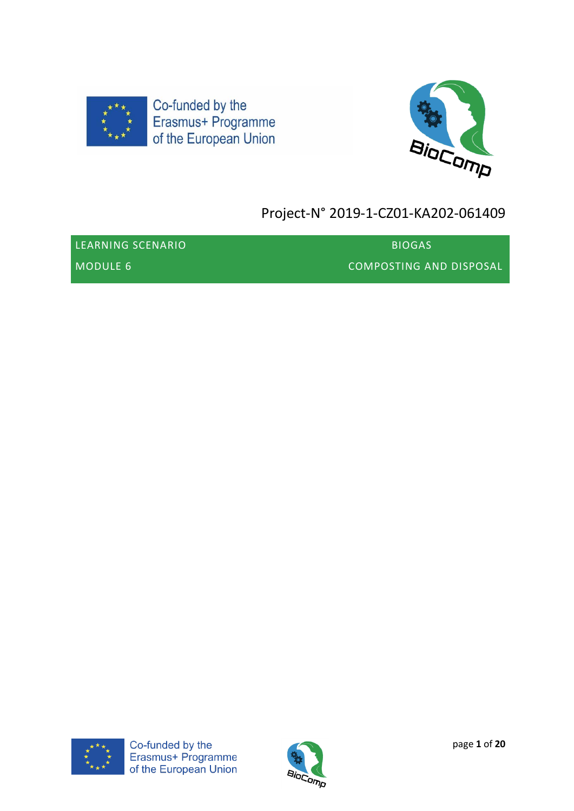



# Project-N° 2019-1-CZ01-KA202-061409

| LEARNING SCENARIO | <b>BIOGAS</b>                  |
|-------------------|--------------------------------|
| MODULE 6          | <b>COMPOSTING AND DISPOSAL</b> |



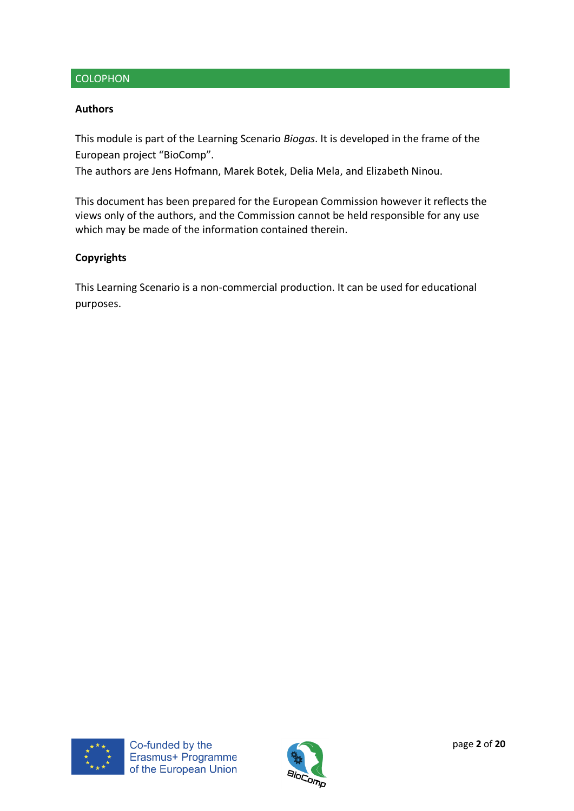## **COLOPHON**

#### **Authors**

This module is part of the Learning Scenario *Biogas*. It is developed in the frame of the European project "BioComp".

The authors are Jens Hofmann, Marek Botek, Delia Mela, and Elizabeth Ninou.

This document has been prepared for the European Commission however it reflects the views only of the authors, and the Commission cannot be held responsible for any use which may be made of the information contained therein.

#### **Copyrights**

This Learning Scenario is a non-commercial production. It can be used for educational purposes.



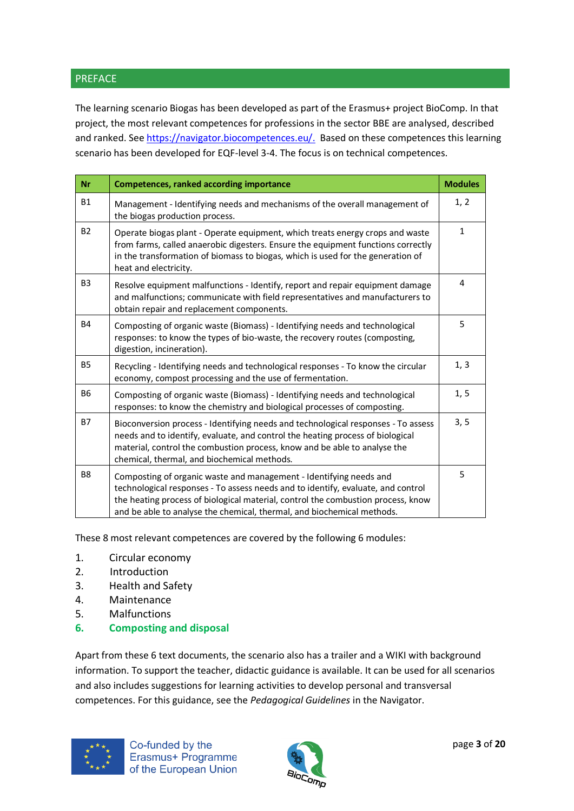## PREFACE

The learning scenario Biogas has been developed as part of the Erasmus+ project BioComp. In that project, the most relevant competences for professions in the sector BBE are analysed, described and ranked. See [https://navigator.biocompetences.eu/.](https://navigator.biocompetences.eu/) Based on these competences this learning scenario has been developed for EQF-level 3-4. The focus is on technical competences.

| <b>Nr</b>      | <b>Competences, ranked according importance</b>                                                                                                                                                                                                                                                                      |              |
|----------------|----------------------------------------------------------------------------------------------------------------------------------------------------------------------------------------------------------------------------------------------------------------------------------------------------------------------|--------------|
| <b>B1</b>      | Management - Identifying needs and mechanisms of the overall management of<br>the biogas production process.                                                                                                                                                                                                         | 1, 2         |
| <b>B2</b>      | Operate biogas plant - Operate equipment, which treats energy crops and waste<br>from farms, called anaerobic digesters. Ensure the equipment functions correctly<br>in the transformation of biomass to biogas, which is used for the generation of<br>heat and electricity.                                        | $\mathbf{1}$ |
| B <sub>3</sub> | Resolve equipment malfunctions - Identify, report and repair equipment damage<br>and malfunctions; communicate with field representatives and manufacturers to<br>obtain repair and replacement components.                                                                                                          | 4            |
| <b>B4</b>      | Composting of organic waste (Biomass) - Identifying needs and technological<br>responses: to know the types of bio-waste, the recovery routes (composting,<br>digestion, incineration).                                                                                                                              | 5            |
| <b>B5</b>      | Recycling - Identifying needs and technological responses - To know the circular<br>economy, compost processing and the use of fermentation.                                                                                                                                                                         | 1, 3         |
| <b>B6</b>      | Composting of organic waste (Biomass) - Identifying needs and technological<br>responses: to know the chemistry and biological processes of composting.                                                                                                                                                              | 1, 5         |
| <b>B7</b>      | Bioconversion process - Identifying needs and technological responses - To assess<br>needs and to identify, evaluate, and control the heating process of biological<br>material, control the combustion process, know and be able to analyse the<br>chemical, thermal, and biochemical methods.                      | 3, 5         |
| B <sub>8</sub> | Composting of organic waste and management - Identifying needs and<br>technological responses - To assess needs and to identify, evaluate, and control<br>the heating process of biological material, control the combustion process, know<br>and be able to analyse the chemical, thermal, and biochemical methods. | 5            |

These 8 most relevant competences are covered by the following 6 modules:

- 1. Circular economy
- 2. Introduction
- 3. Health and Safety
- 4. Maintenance
- 5. Malfunctions
- **6. Composting and disposal**

Apart from these 6 text documents, the scenario also has a trailer and a WIKI with background information. To support the teacher, didactic guidance is available. It can be used for all scenarios and also includes suggestions for learning activities to develop personal and transversal competences. For this guidance, see the *Pedagogical Guidelines* in the Navigator.



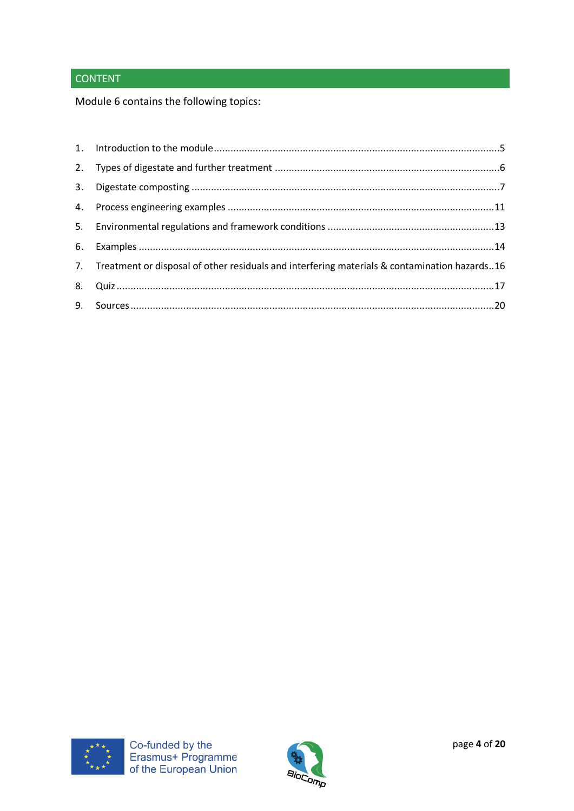## **CONTENT**

Module 6 contains the following topics:

| 7. Treatment or disposal of other residuals and interfering materials & contamination hazards16 |
|-------------------------------------------------------------------------------------------------|
|                                                                                                 |
|                                                                                                 |



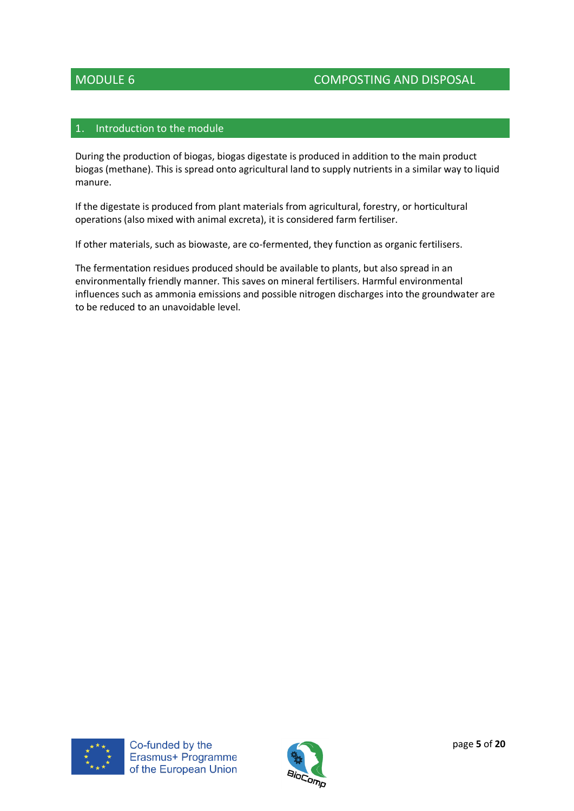## <span id="page-4-0"></span>1. Introduction to the module

During the production of biogas, biogas digestate is produced in addition to the main product biogas (methane). This is spread onto agricultural land to supply nutrients in a similar way to liquid manure.

If the digestate is produced from plant materials from agricultural, forestry, or horticultural operations (also mixed with animal excreta), it is considered farm fertiliser.

If other materials, such as biowaste, are co-fermented, they function as organic fertilisers.

The fermentation residues produced should be available to plants, but also spread in an environmentally friendly manner. This saves on mineral fertilisers. Harmful environmental influences such as ammonia emissions and possible nitrogen discharges into the groundwater are to be reduced to an unavoidable level.



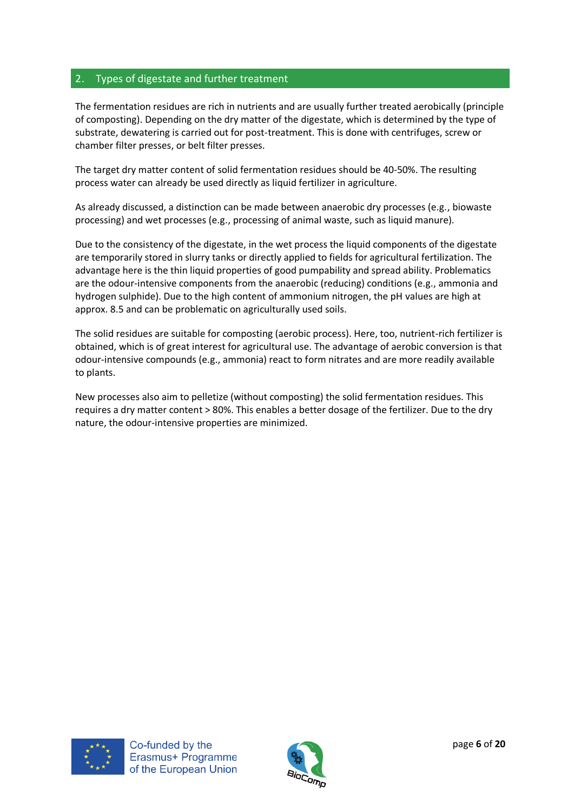## <span id="page-5-0"></span>2. Types of digestate and further treatment

The fermentation residues are rich in nutrients and are usually further treated aerobically (principle of composting). Depending on the dry matter of the digestate, which is determined by the type of substrate, dewatering is carried out for post-treatment. This is done with centrifuges, screw or chamber filter presses, or belt filter presses.

The target dry matter content of solid fermentation residues should be 40-50%. The resulting process water can already be used directly as liquid fertilizer in agriculture.

As already discussed, a distinction can be made between anaerobic dry processes (e.g., biowaste processing) and wet processes (e.g., processing of animal waste, such as liquid manure).

Due to the consistency of the digestate, in the wet process the liquid components of the digestate are temporarily stored in slurry tanks or directly applied to fields for agricultural fertilization. The advantage here is the thin liquid properties of good pumpability and spread ability. Problematics are the odour-intensive components from the anaerobic (reducing) conditions (e.g., ammonia and hydrogen sulphide). Due to the high content of ammonium nitrogen, the pH values are high at approx. 8.5 and can be problematic on agriculturally used soils.

The solid residues are suitable for composting (aerobic process). Here, too, nutrient-rich fertilizer is obtained, which is of great interest for agricultural use. The advantage of aerobic conversion is that odour-intensive compounds (e.g., ammonia) react to form nitrates and are more readily available to plants.

New processes also aim to pelletize (without composting) the solid fermentation residues. This requires a dry matter content > 80%. This enables a better dosage of the fertilizer. Due to the dry nature, the odour-intensive properties are minimized.



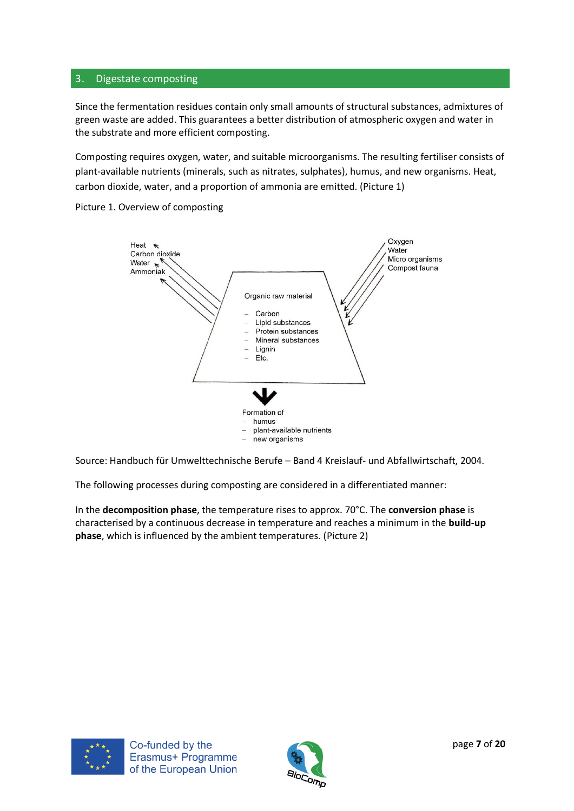## <span id="page-6-0"></span>3. Digestate composting

Since the fermentation residues contain only small amounts of structural substances, admixtures of green waste are added. This guarantees a better distribution of atmospheric oxygen and water in the substrate and more efficient composting.

Composting requires oxygen, water, and suitable microorganisms. The resulting fertiliser consists of plant-available nutrients (minerals, such as nitrates, sulphates), humus, and new organisms. Heat, carbon dioxide, water, and a proportion of ammonia are emitted. (Picture 1)

Picture 1. Overview of composting



Source: Handbuch für Umwelttechnische Berufe – Band 4 Kreislauf- und Abfallwirtschaft, 2004.

The following processes during composting are considered in a differentiated manner:

In the **decomposition phase**, the temperature rises to approx. 70°C. The **conversion phase** is characterised by a continuous decrease in temperature and reaches a minimum in the **build-up phase**, which is influenced by the ambient temperatures. (Picture 2)



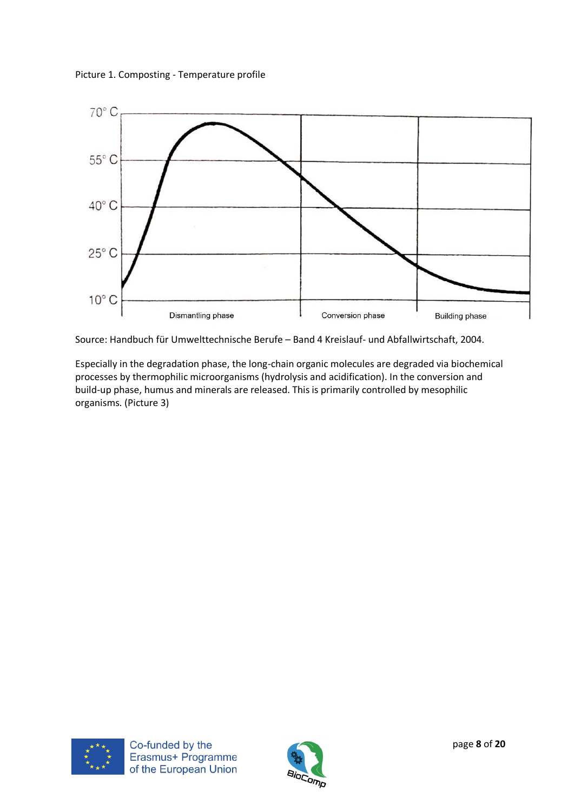



Source: Handbuch für Umwelttechnische Berufe – Band 4 Kreislauf- und Abfallwirtschaft, 2004.

Especially in the degradation phase, the long-chain organic molecules are degraded via biochemical processes by thermophilic microorganisms (hydrolysis and acidification). In the conversion and build-up phase, humus and minerals are released. This is primarily controlled by mesophilic organisms. (Picture 3)



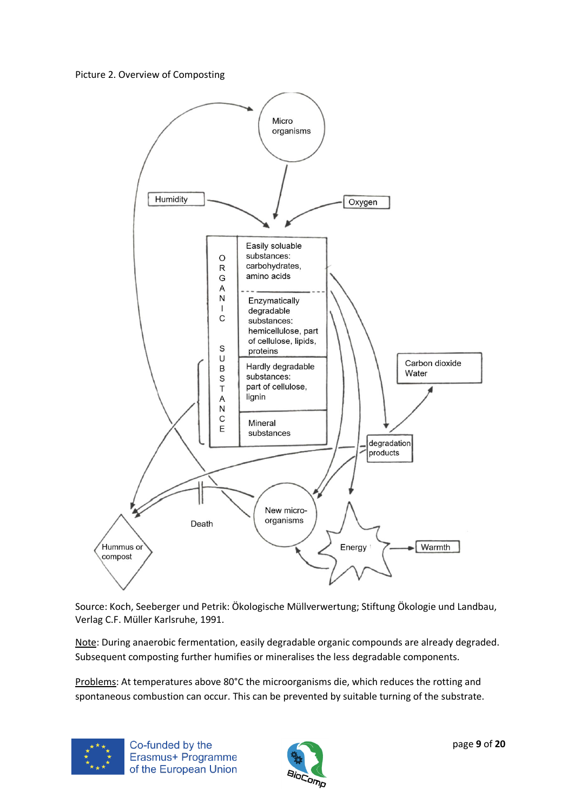Picture 2. Overview of Composting



Source: Koch, Seeberger und Petrik: Ökologische Müllverwertung; Stiftung Ökologie und Landbau, Verlag C.F. Müller Karlsruhe, 1991.

Note: During anaerobic fermentation, easily degradable organic compounds are already degraded. Subsequent composting further humifies or mineralises the less degradable components.

Problems: At temperatures above 80°C the microorganisms die, which reduces the rotting and spontaneous combustion can occur. This can be prevented by suitable turning of the substrate.



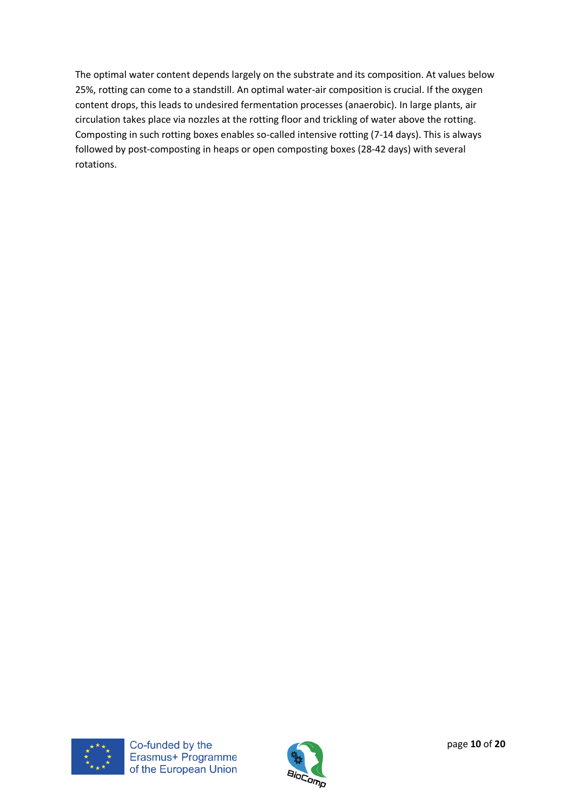The optimal water content depends largely on the substrate and its composition. At values below 25%, rotting can come to a standstill. An optimal water-air composition is crucial. If the oxygen content drops, this leads to undesired fermentation processes (anaerobic). In large plants, air circulation takes place via nozzles at the rotting floor and trickling of water above the rotting. Composting in such rotting boxes enables so-called intensive rotting (7-14 days). This is always followed by post-composting in heaps or open composting boxes (28-42 days) with several rotations.



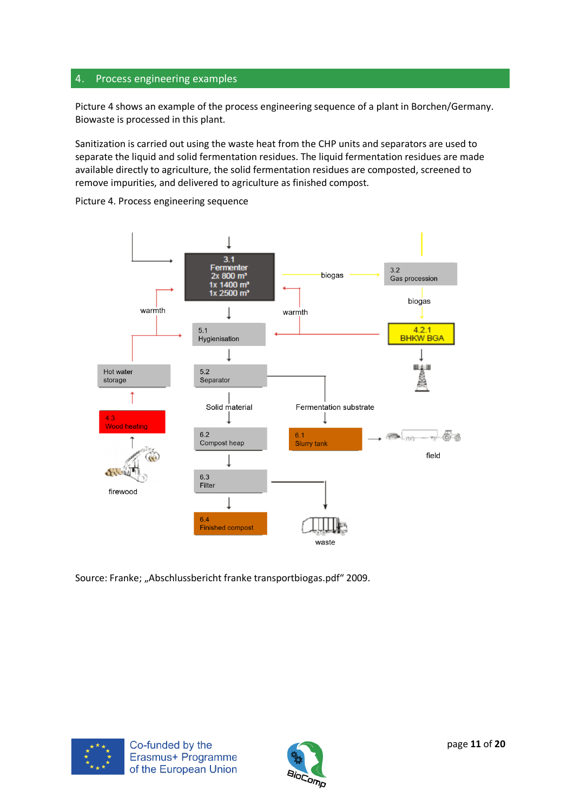## <span id="page-10-0"></span>4. Process engineering examples

Picture 4 shows an example of the process engineering sequence of a plant in Borchen/Germany. Biowaste is processed in this plant.

Sanitization is carried out using the waste heat from the CHP units and separators are used to separate the liquid and solid fermentation residues. The liquid fermentation residues are made available directly to agriculture, the solid fermentation residues are composted, screened to remove impurities, and delivered to agriculture as finished compost.

Picture 4. Process engineering sequence



Source: Franke; "Abschlussbericht franke transportbiogas.pdf" 2009.



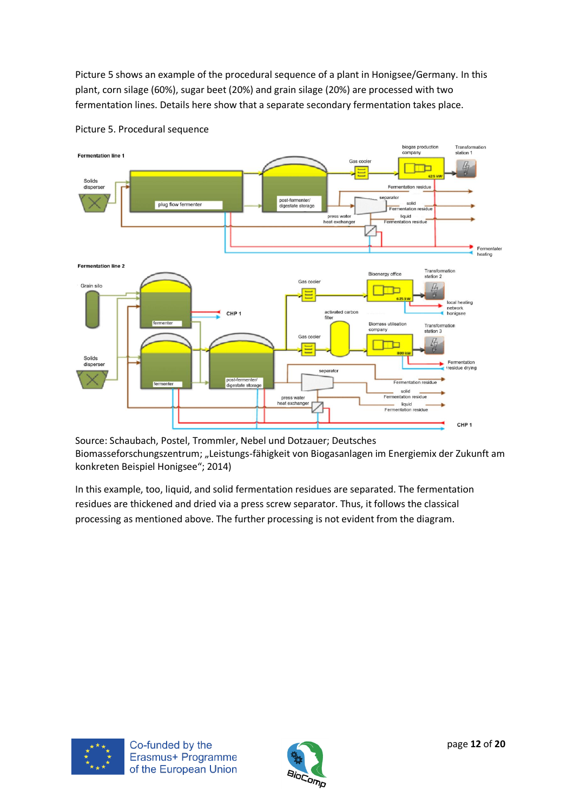Picture 5 shows an example of the procedural sequence of a plant in Honigsee/Germany. In this plant, corn silage (60%), sugar beet (20%) and grain silage (20%) are processed with two fermentation lines. Details here show that a separate secondary fermentation takes place.



#### Picture 5. Procedural sequence

Source: Schaubach, Postel, Trommler, Nebel und Dotzauer; Deutsches Biomasseforschungszentrum; "Leistungs-fähigkeit von Biogasanlagen im Energiemix der Zukunft am konkreten Beispiel Honigsee"; 2014)

In this example, too, liquid, and solid fermentation residues are separated. The fermentation residues are thickened and dried via a press screw separator. Thus, it follows the classical processing as mentioned above. The further processing is not evident from the diagram.



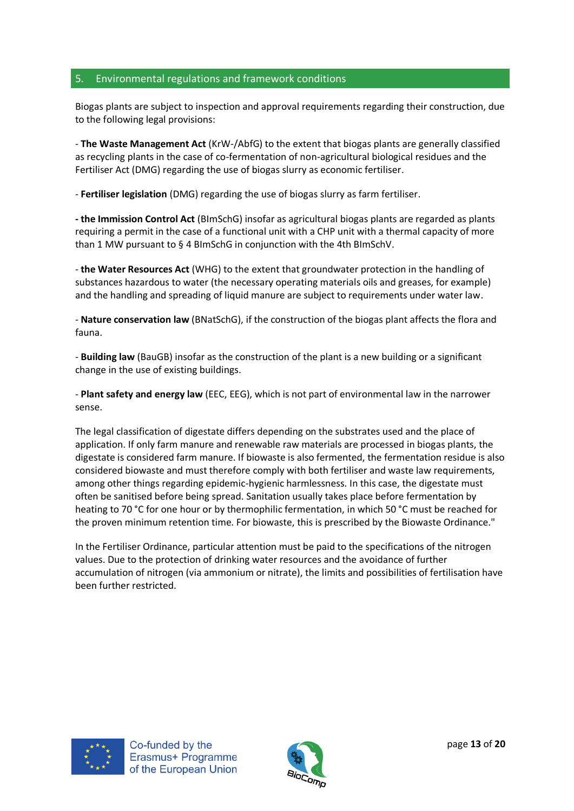## <span id="page-12-0"></span>5. Environmental regulations and framework conditions

Biogas plants are subject to inspection and approval requirements regarding their construction, due to the following legal provisions:

- **The Waste Management Act** (KrW-/AbfG) to the extent that biogas plants are generally classified as recycling plants in the case of co-fermentation of non-agricultural biological residues and the Fertiliser Act (DMG) regarding the use of biogas slurry as economic fertiliser.

- **Fertiliser legislation** (DMG) regarding the use of biogas slurry as farm fertiliser.

**- the Immission Control Act** (BImSchG) insofar as agricultural biogas plants are regarded as plants requiring a permit in the case of a functional unit with a CHP unit with a thermal capacity of more than 1 MW pursuant to § 4 BImSchG in conjunction with the 4th BImSchV.

- **the Water Resources Act** (WHG) to the extent that groundwater protection in the handling of substances hazardous to water (the necessary operating materials oils and greases, for example) and the handling and spreading of liquid manure are subject to requirements under water law.

- **Nature conservation law** (BNatSchG), if the construction of the biogas plant affects the flora and fauna.

- **Building law** (BauGB) insofar as the construction of the plant is a new building or a significant change in the use of existing buildings.

- **Plant safety and energy law** (EEC, EEG), which is not part of environmental law in the narrower sense.

The legal classification of digestate differs depending on the substrates used and the place of application. If only farm manure and renewable raw materials are processed in biogas plants, the digestate is considered farm manure. If biowaste is also fermented, the fermentation residue is also considered biowaste and must therefore comply with both fertiliser and waste law requirements, among other things regarding epidemic-hygienic harmlessness. In this case, the digestate must often be sanitised before being spread. Sanitation usually takes place before fermentation by heating to 70 °C for one hour or by thermophilic fermentation, in which 50 °C must be reached for the proven minimum retention time. For biowaste, this is prescribed by the Biowaste Ordinance."

In the Fertiliser Ordinance, particular attention must be paid to the specifications of the nitrogen values. Due to the protection of drinking water resources and the avoidance of further accumulation of nitrogen (via ammonium or nitrate), the limits and possibilities of fertilisation have been further restricted.



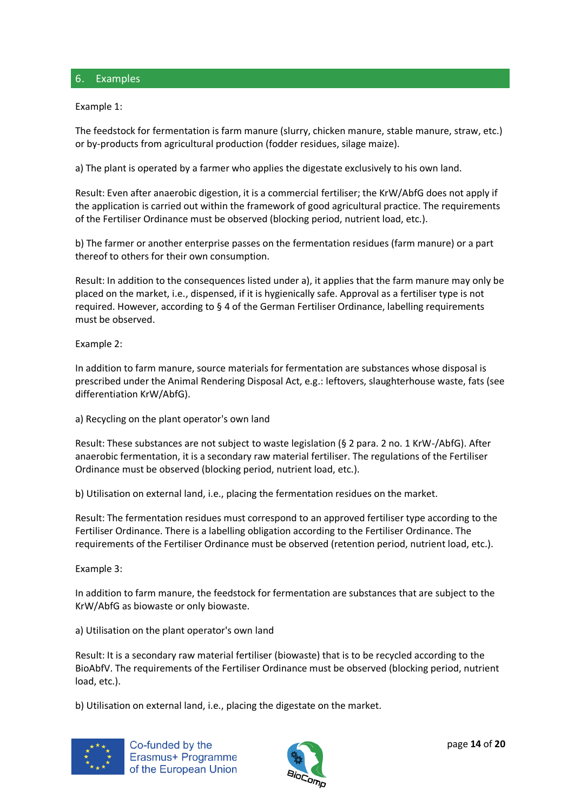#### <span id="page-13-0"></span>6. Examples

Example 1:

The feedstock for fermentation is farm manure (slurry, chicken manure, stable manure, straw, etc.) or by-products from agricultural production (fodder residues, silage maize).

a) The plant is operated by a farmer who applies the digestate exclusively to his own land.

Result: Even after anaerobic digestion, it is a commercial fertiliser; the KrW/AbfG does not apply if the application is carried out within the framework of good agricultural practice. The requirements of the Fertiliser Ordinance must be observed (blocking period, nutrient load, etc.).

b) The farmer or another enterprise passes on the fermentation residues (farm manure) or a part thereof to others for their own consumption.

Result: In addition to the consequences listed under a), it applies that the farm manure may only be placed on the market, i.e., dispensed, if it is hygienically safe. Approval as a fertiliser type is not required. However, according to § 4 of the German Fertiliser Ordinance, labelling requirements must be observed.

Example 2:

In addition to farm manure, source materials for fermentation are substances whose disposal is prescribed under the Animal Rendering Disposal Act, e.g.: leftovers, slaughterhouse waste, fats (see differentiation KrW/AbfG).

a) Recycling on the plant operator's own land

Result: These substances are not subject to waste legislation (§ 2 para. 2 no. 1 KrW-/AbfG). After anaerobic fermentation, it is a secondary raw material fertiliser. The regulations of the Fertiliser Ordinance must be observed (blocking period, nutrient load, etc.).

b) Utilisation on external land, i.e., placing the fermentation residues on the market.

Result: The fermentation residues must correspond to an approved fertiliser type according to the Fertiliser Ordinance. There is a labelling obligation according to the Fertiliser Ordinance. The requirements of the Fertiliser Ordinance must be observed (retention period, nutrient load, etc.).

Example 3:

In addition to farm manure, the feedstock for fermentation are substances that are subject to the KrW/AbfG as biowaste or only biowaste.

a) Utilisation on the plant operator's own land

Result: It is a secondary raw material fertiliser (biowaste) that is to be recycled according to the BioAbfV. The requirements of the Fertiliser Ordinance must be observed (blocking period, nutrient load, etc.).

b) Utilisation on external land, i.e., placing the digestate on the market.



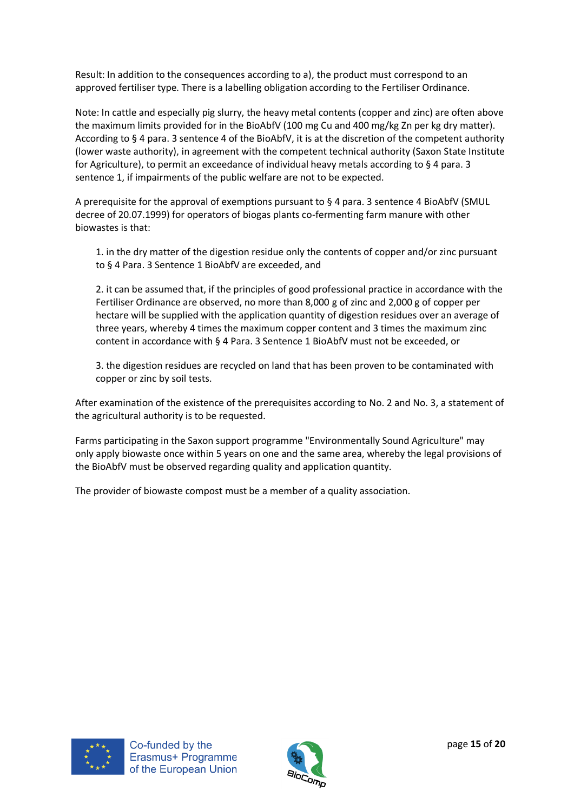Result: In addition to the consequences according to a), the product must correspond to an approved fertiliser type. There is a labelling obligation according to the Fertiliser Ordinance.

Note: In cattle and especially pig slurry, the heavy metal contents (copper and zinc) are often above the maximum limits provided for in the BioAbfV (100 mg Cu and 400 mg/kg Zn per kg dry matter). According to § 4 para. 3 sentence 4 of the BioAbfV, it is at the discretion of the competent authority (lower waste authority), in agreement with the competent technical authority (Saxon State Institute for Agriculture), to permit an exceedance of individual heavy metals according to § 4 para. 3 sentence 1, if impairments of the public welfare are not to be expected.

A prerequisite for the approval of exemptions pursuant to § 4 para. 3 sentence 4 BioAbfV (SMUL decree of 20.07.1999) for operators of biogas plants co-fermenting farm manure with other biowastes is that:

1. in the dry matter of the digestion residue only the contents of copper and/or zinc pursuant to § 4 Para. 3 Sentence 1 BioAbfV are exceeded, and

2. it can be assumed that, if the principles of good professional practice in accordance with the Fertiliser Ordinance are observed, no more than 8,000 g of zinc and 2,000 g of copper per hectare will be supplied with the application quantity of digestion residues over an average of three years, whereby 4 times the maximum copper content and 3 times the maximum zinc content in accordance with § 4 Para. 3 Sentence 1 BioAbfV must not be exceeded, or

3. the digestion residues are recycled on land that has been proven to be contaminated with copper or zinc by soil tests.

After examination of the existence of the prerequisites according to No. 2 and No. 3, a statement of the agricultural authority is to be requested.

Farms participating in the Saxon support programme "Environmentally Sound Agriculture" may only apply biowaste once within 5 years on one and the same area, whereby the legal provisions of the BioAbfV must be observed regarding quality and application quantity.

The provider of biowaste compost must be a member of a quality association.



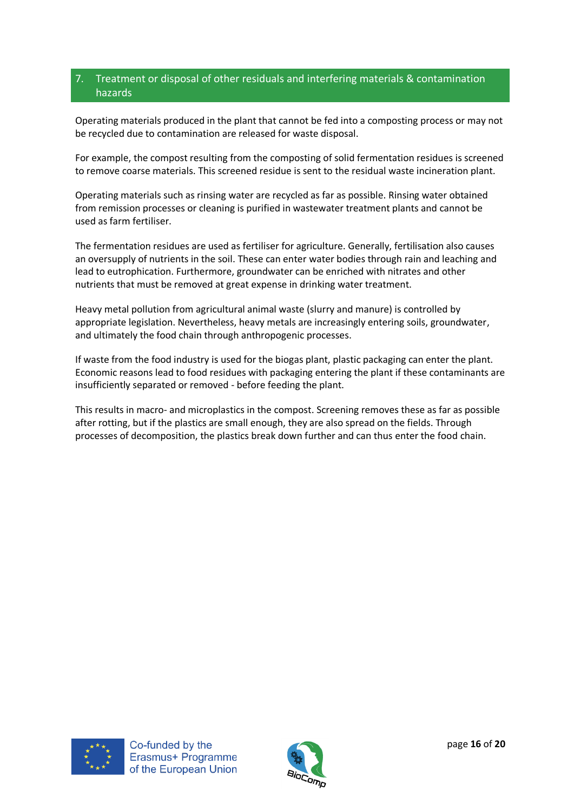## <span id="page-15-0"></span>7. Treatment or disposal of other residuals and interfering materials & contamination hazards

Operating materials produced in the plant that cannot be fed into a composting process or may not be recycled due to contamination are released for waste disposal.

For example, the compost resulting from the composting of solid fermentation residues is screened to remove coarse materials. This screened residue is sent to the residual waste incineration plant.

Operating materials such as rinsing water are recycled as far as possible. Rinsing water obtained from remission processes or cleaning is purified in wastewater treatment plants and cannot be used as farm fertiliser.

The fermentation residues are used as fertiliser for agriculture. Generally, fertilisation also causes an oversupply of nutrients in the soil. These can enter water bodies through rain and leaching and lead to eutrophication. Furthermore, groundwater can be enriched with nitrates and other nutrients that must be removed at great expense in drinking water treatment.

Heavy metal pollution from agricultural animal waste (slurry and manure) is controlled by appropriate legislation. Nevertheless, heavy metals are increasingly entering soils, groundwater, and ultimately the food chain through anthropogenic processes.

If waste from the food industry is used for the biogas plant, plastic packaging can enter the plant. Economic reasons lead to food residues with packaging entering the plant if these contaminants are insufficiently separated or removed - before feeding the plant.

This results in macro- and microplastics in the compost. Screening removes these as far as possible after rotting, but if the plastics are small enough, they are also spread on the fields. Through processes of decomposition, the plastics break down further and can thus enter the food chain.



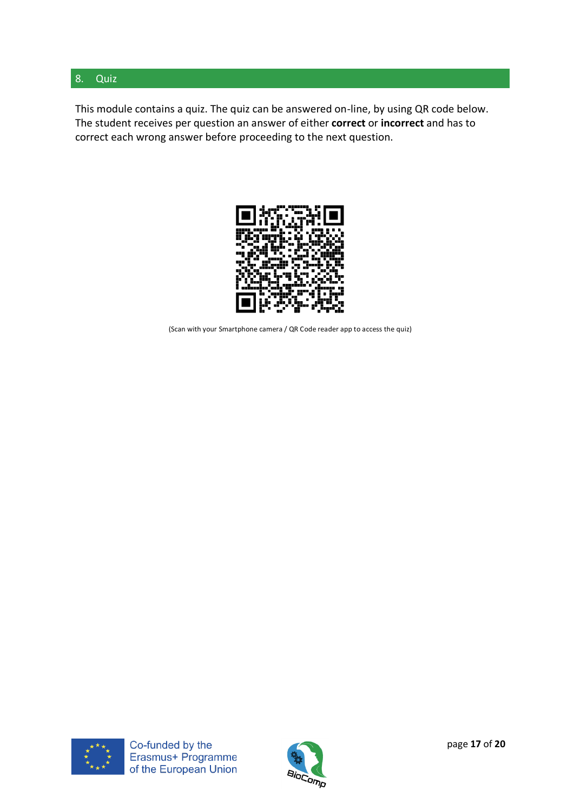## <span id="page-16-0"></span>8. Quiz

This module contains a quiz. The quiz can be answered on-line, by using QR code below. The student receives per question an answer of either **correct** or **incorrect** and has to correct each wrong answer before proceeding to the next question.



(Scan with your Smartphone camera / QR Code reader app to access the quiz)



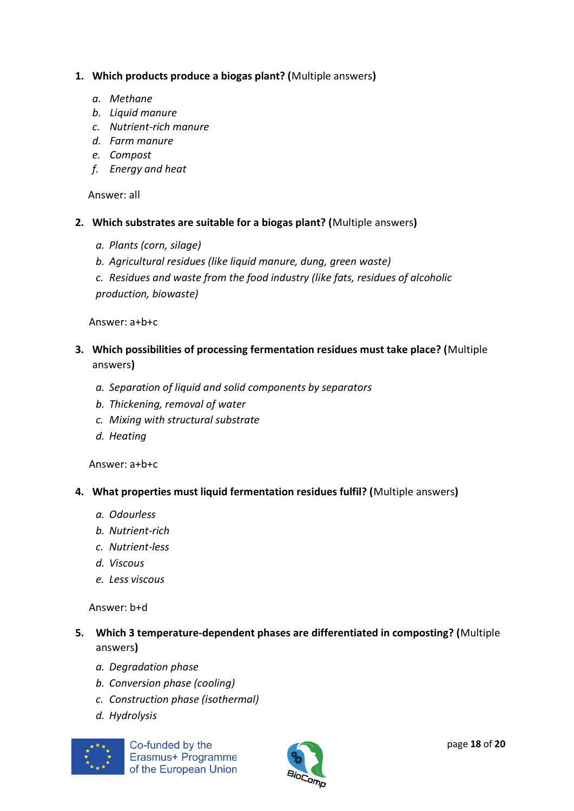## **1. Which products produce a biogas plant? (**Multiple answers**)**

- *a. Methane*
- *b. Liquid manure*
- *c. Nutrient-rich manure*
- *d. Farm manure*
- *e. Compost*
- *f. Energy and heat*

Answer: all

- **2. Which substrates are suitable for a biogas plant? (**Multiple answers**)**
	- *a. Plants (corn, silage)*
	- *b. Agricultural residues (like liquid manure, dung, green waste)*
	- *c. Residues and waste from the food industry (like fats, residues of alcoholic production, biowaste)*

Answer: a+b+c

- **3. Which possibilities of processing fermentation residues must take place? (**Multiple answers**)**
	- *a. Separation of liquid and solid components by separators*
	- *b. Thickening, removal of water*
	- *c. Mixing with structural substrate*
	- *d. Heating*

Answer: a+b+c

- **4. What properties must liquid fermentation residues fulfil? (**Multiple answers**)**
	- *a. Odourless*
	- *b. Nutrient-rich*
	- *c. Nutrient-less*
	- *d. Viscous*
	- *e. Less viscous*

Answer: b+d

- **5. Which 3 temperature-dependent phases are differentiated in composting? (**Multiple answers**)**
	- *a. Degradation phase*
	- *b. Conversion phase (cooling)*
	- *c. Construction phase (isothermal)*
	- *d. Hydrolysis*



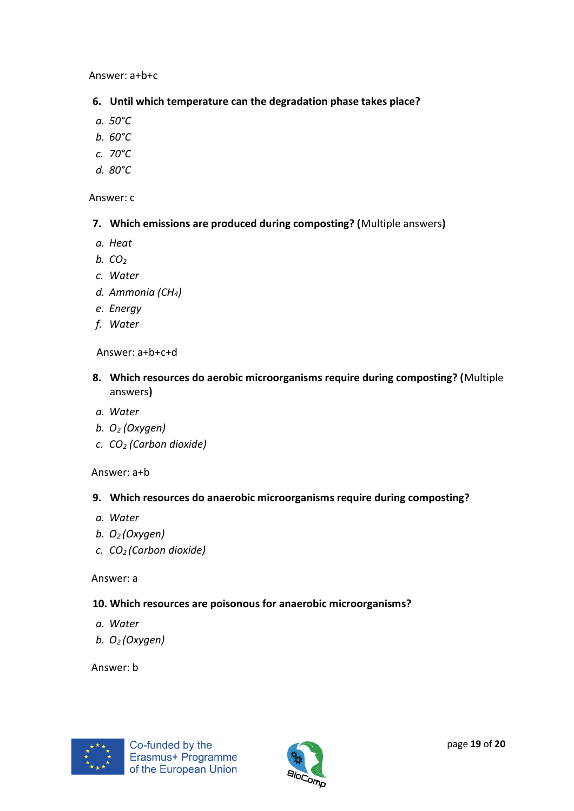Answer: a+b+c

- **6. Until which temperature can the degradation phase takes place?**
- *a. 50°C*
- *b. 60°C*
- *c. 70°C*
- *d. 80°C*

Answer: c

- **7. Which emissions are produced during composting? (**Multiple answers**)**
- *a. Heat*
- *b. CO<sup>2</sup>*
- *c. Water*
- *d. Ammonia (CH4)*
- *e. Energy*
- *f. Water*

Answer: a+b+c+d

- **8. Which resources do aerobic microorganisms require during composting? (**Multiple answers**)**
- *a. Water*
- *b. O<sup>2</sup> (Oxygen)*
- *c. CO<sup>2</sup> (Carbon dioxide)*

#### Answer: a+b

#### **9. Which resources do anaerobic microorganisms require during composting?**

- *a. Water*
- *b. O2 (Oxygen)*
- *c. CO2 (Carbon dioxide)*

#### Answer: a

## **10. Which resources are poisonous for anaerobic microorganisms?**

- *a. Water*
- *b. O2 (Oxygen)*

Answer: b